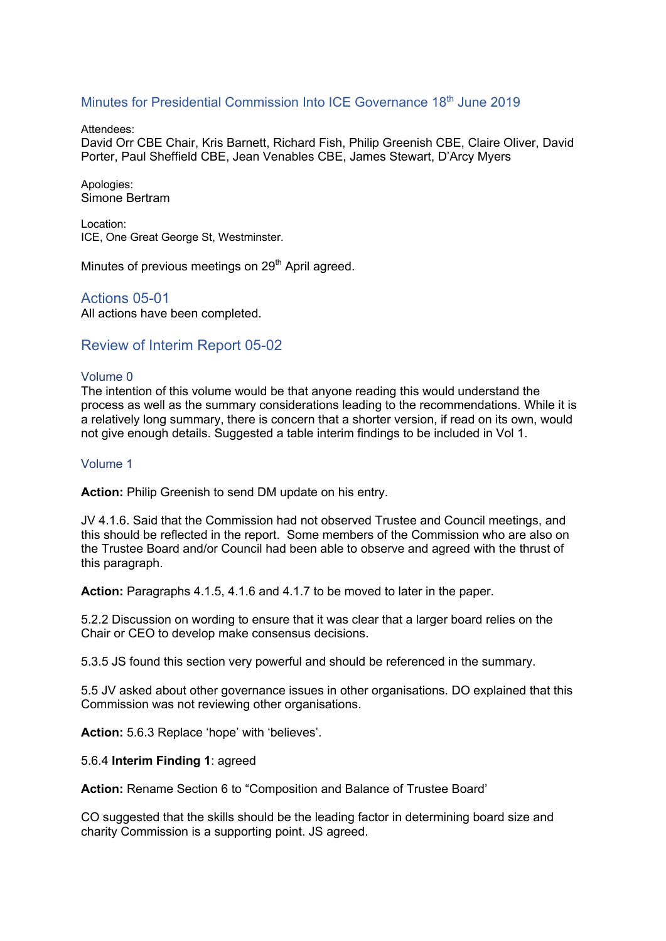# Minutes for Presidential Commission Into ICE Governance 18<sup>th</sup> June 2019

Attendees:

David Orr CBE Chair, Kris Barnett, Richard Fish, Philip Greenish CBE, Claire Oliver, David Porter, Paul Sheffield CBE, Jean Venables CBE, James Stewart, D'Arcy Myers

Apologies: Simone Bertram

Location: ICE, One Great George St, Westminster.

Minutes of previous meetings on 29<sup>th</sup> April agreed.

Actions 05-01 All actions have been completed.

# Review of Interim Report 05-02

#### Volume 0

The intention of this volume would be that anyone reading this would understand the process as well as the summary considerations leading to the recommendations. While it is a relatively long summary, there is concern that a shorter version, if read on its own, would not give enough details. Suggested a table interim findings to be included in Vol 1.

Volume 1

**Action:** Philip Greenish to send DM update on his entry.

JV 4.1.6. Said that the Commission had not observed Trustee and Council meetings, and this should be reflected in the report. Some members of the Commission who are also on the Trustee Board and/or Council had been able to observe and agreed with the thrust of this paragraph.

**Action:** Paragraphs 4.1.5, 4.1.6 and 4.1.7 to be moved to later in the paper.

5.2.2 Discussion on wording to ensure that it was clear that a larger board relies on the Chair or CEO to develop make consensus decisions.

5.3.5 JS found this section very powerful and should be referenced in the summary.

5.5 JV asked about other governance issues in other organisations. DO explained that this Commission was not reviewing other organisations.

**Action:** 5.6.3 Replace 'hope' with 'believes'.

### 5.6.4 **Interim Finding 1**: agreed

**Action:** Rename Section 6 to "Composition and Balance of Trustee Board'

CO suggested that the skills should be the leading factor in determining board size and charity Commission is a supporting point. JS agreed.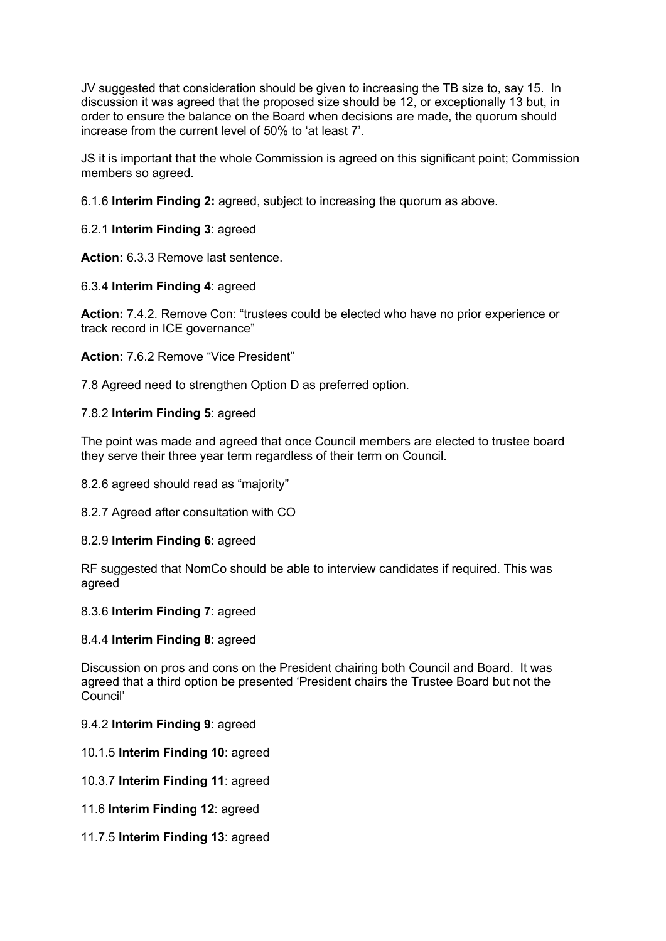JV suggested that consideration should be given to increasing the TB size to, say 15. In discussion it was agreed that the proposed size should be 12, or exceptionally 13 but, in order to ensure the balance on the Board when decisions are made, the quorum should increase from the current level of 50% to 'at least 7'.

JS it is important that the whole Commission is agreed on this significant point; Commission members so agreed.

6.1.6 **Interim Finding 2:** agreed, subject to increasing the quorum as above.

6.2.1 **Interim Finding 3**: agreed

**Action:** 6.3.3 Remove last sentence.

### 6.3.4 **Interim Finding 4**: agreed

**Action:** 7.4.2. Remove Con: "trustees could be elected who have no prior experience or track record in ICE governance"

### **Action:** 7.6.2 Remove "Vice President"

7.8 Agreed need to strengthen Option D as preferred option.

### 7.8.2 **Interim Finding 5**: agreed

The point was made and agreed that once Council members are elected to trustee board they serve their three year term regardless of their term on Council.

8.2.6 agreed should read as "majority"

8.2.7 Agreed after consultation with CO

## 8.2.9 **Interim Finding 6**: agreed

RF suggested that NomCo should be able to interview candidates if required. This was agreed

### 8.3.6 **Interim Finding 7**: agreed

### 8.4.4 **Interim Finding 8**: agreed

Discussion on pros and cons on the President chairing both Council and Board. It was agreed that a third option be presented 'President chairs the Trustee Board but not the Council'

### 9.4.2 **Interim Finding 9**: agreed

10.1.5 **Interim Finding 10**: agreed

- 10.3.7 **Interim Finding 11**: agreed
- 11.6 **Interim Finding 12**: agreed
- 11.7.5 **Interim Finding 13**: agreed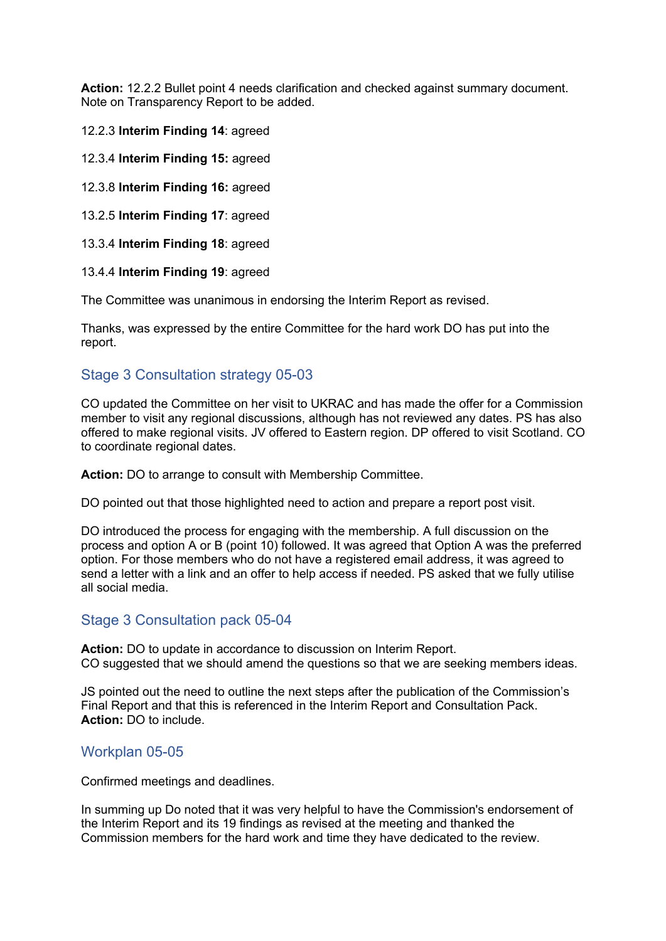**Action:** 12.2.2 Bullet point 4 needs clarification and checked against summary document. Note on Transparency Report to be added.

12.2.3 **Interim Finding 14**: agreed

12.3.4 **Interim Finding 15:** agreed

12.3.8 **Interim Finding 16:** agreed

13.2.5 **Interim Finding 17**: agreed

13.3.4 **Interim Finding 18**: agreed

13.4.4 **Interim Finding 19**: agreed

The Committee was unanimous in endorsing the Interim Report as revised.

Thanks, was expressed by the entire Committee for the hard work DO has put into the report.

# Stage 3 Consultation strategy 05-03

CO updated the Committee on her visit to UKRAC and has made the offer for a Commission member to visit any regional discussions, although has not reviewed any dates. PS has also offered to make regional visits. JV offered to Eastern region. DP offered to visit Scotland. CO to coordinate regional dates.

**Action:** DO to arrange to consult with Membership Committee.

DO pointed out that those highlighted need to action and prepare a report post visit.

DO introduced the process for engaging with the membership. A full discussion on the process and option A or B (point 10) followed. It was agreed that Option A was the preferred option. For those members who do not have a registered email address, it was agreed to send a letter with a link and an offer to help access if needed. PS asked that we fully utilise all social media.

## Stage 3 Consultation pack 05-04

**Action:** DO to update in accordance to discussion on Interim Report. CO suggested that we should amend the questions so that we are seeking members ideas.

JS pointed out the need to outline the next steps after the publication of the Commission's Final Report and that this is referenced in the Interim Report and Consultation Pack. **Action:** DO to include.

## Workplan 05-05

Confirmed meetings and deadlines.

In summing up Do noted that it was very helpful to have the Commission's endorsement of the Interim Report and its 19 findings as revised at the meeting and thanked the Commission members for the hard work and time they have dedicated to the review.